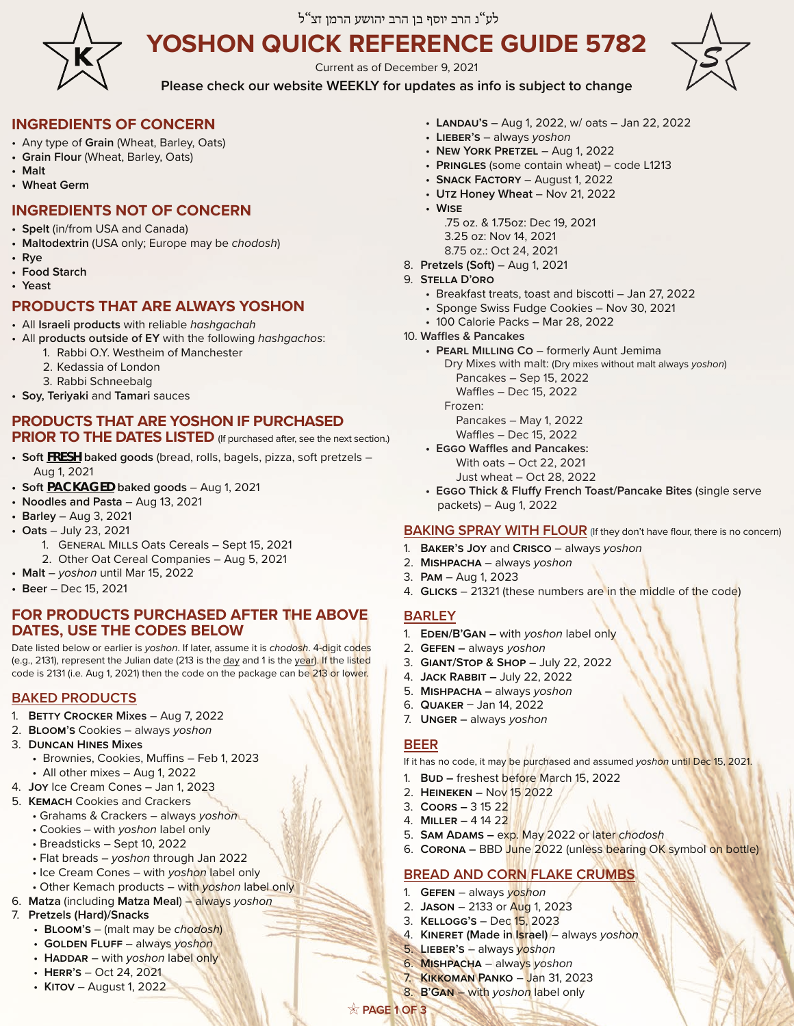

# לע"נ הרב יוסף בן הרב יהושע הרמן זצ"ל

# **YOSHON QUICK REFERENCE GUIDE 5782**

Current as of December 9, 2021



**Please check our website WEEKLY for updates as info is subject to change**

# **INGREDIENTS OF CONCERN**

- Any type of **Grain** (Wheat, Barley, Oats)
- **Grain Flour** (Wheat, Barley, Oats)
- **Malt**
- **Wheat Germ**

# **INGREDIENTS NOT OF CONCERN**

- **Spelt** (in/from USA and Canada)
- **Maltodextrin** (USA only; Europe may be *chodosh*)
- **Rye**
- **Food Starch • Yeast**
- 

# **PRODUCTS THAT ARE ALWAYS YOSHON**

- All **Israeli products** with reliable *hashgachah*
- All **products outside of EY** with the following *hashgachos*:
	- 1. Rabbi O.Y. Westheim of Manchester
	- 2. Kedassia of London
	- 3. Rabbi Schneebalg
- **Soy, Teriyaki** and **Tamari** sauces

#### **PRODUCTS THAT ARE YOSHON IF PURCHASED PRIOR TO THE DATES LISTED** (If purchased after, see the next section.)

**• Soft FRESH baked goods** (bread, rolls, bagels, pizza, soft pretzels – Aug 1, 2021

- **Soft PACKAGED baked goods** Aug 1, 2021
- **Noodles and Pasta** Aug 13, 2021
- **Barley** Aug 3, 2021
- **Oats** July 23, 2021
	- 1. General Mills Oats Cereals Sept 15, 2021 2. Other Oat Cereal Companies – Aug 5, 2021
- **Malt**  *yoshon* until Mar 15, 2022
- **Beer**  Dec 15, 2021

# **FOR PRODUCTS PURCHASED AFTER THE ABOVE DATES, USE THE CODES BELOW**

Date listed below or earlier is *yoshon*. If later, assume it is *chodosh*. 4-digit codes (e.g., 2131), represent the Julian date (213 is the day and 1 is the year). If the listed code is 2131 (i.e. Aug 1, 2021) then the code on the package can be 213 or lower.

# **BAKED PRODUCTS**

- 1. **Betty Crocker Mixes** Aug 7, 2022
- 2. **Bloom's** Cookies always *yoshon*
- 3. **Duncan Hines Mixes**
	- Brownies, Cookies, Muffins Feb 1, 2023
- All other mixes Aug 1, 2022
- 4. **Joy** Ice Cream Cones Jan 1, 2023
- 5. **Kemach** Cookies and Crackers
	- Grahams & Crackers always *yoshon*
	- Cookies with *yoshon* label only
	- Breadsticks Sept 10, 2022
	- Flat breads *yoshon* through Jan 2022
	- Ice Cream Cones with *yoshon* label only
- Other Kemach products with *yoshon* label only 6. **Matza** (including **Matza Meal**) – always *yoshon*
- 7. **Pretzels (Hard)/Snacks**
	- **Bloom's** (malt may be *chodosh*)
	- **Golden Fluff** always *yoshon*
	- **HADDAR** with *yoshon* label only
	- **Herr's** Oct 24, 2021
	- **Kitov** August 1, 2022
- **Landau's** Aug 1, 2022, w/ oats Jan 22, 2022
- **Lieber's** always *yoshon*
- **New York Pretzel** Aug 1, 2022
- **Pringles** (some contain wheat) code L1213
- **Snack Factory** August 1, 2022
- **Utz Honey Wheat** Nov 21, 2022
- **Wise**
	- .75 oz. & 1.75oz: Dec 19, 2021 3.25 oz: Nov 14, 2021
	- 8.75 oz.: Oct 24, 2021
- 8. **Pretzels (Soft)**  Aug 1, 2021

# 9. **Stella D'oro**

- Breakfast treats, toast and biscotti Jan 27, 2022
- Sponge Swiss Fudge Cookies Nov 30, 2021
- 100 Calorie Packs Mar 28, 2022
- 10. **Waffles & Pancakes** 
	- **Pearl Milling Co**  formerly Aunt Jemima Dry Mixes with malt: (Dry mixes without malt always *yoshon*) Pancakes – Sep 15, 2022 Waffles – Dec 15, 2022 Frozen:

Pancakes – May 1, 2022

- Waffles Dec 15, 2022 **• Eggo Waffles and Pancakes:** With oats – Oct 22, 2021
	- Just wheat Oct 28, 2022
- **Eggo Thick & Fluffy French Toast/Pancake Bites** (single serve packets) – Aug 1, 2022

# **BAKING SPRAY WITH FLOUR** (If they don't have flour, there is no concern)

- 1. **Baker's Joy** and **Crisco** always *yoshon*
- 2. **Mishpacha**  always *yoshon*
- 3. **Pam** Aug 1, 2023
- 4. **Glicks**  21321 (these numbers are in the middle of the code)

# **BARLEY**

- 1. **Eden/B'Gan** with *yoshon* label only
- 2. **Gefen** always *yoshon*
- 3. **Giant/Stop & Shop** July 22, 2022
- 4. **Jack Rabbit** July 22, 2022
- 5. **Mishpacha** always *yoshon*
- 6. **Quaker** Jan 14, 2022
- 7. **Unger** always *yoshon*

# **BEER**

**PAGE 1 OF 3**

If it has no code, it may be purchased and assumed *yoshon* until Dec 15, 2021.

- 1. **Bud** freshest before March 15, 2022
- 2. **Heineken –** Nov 15 2022
- 3. **Coors** 3 15 22
- 4. **Miller** 4 14 22
- 5. **Sam Adams** exp. May 2022 or later *chodosh*
- 6. **Corona** BBD June 2022 (unless bearing OK symbol on bottle)

# **BREAD AND CORN FLAKE CRUMBS**

- 1. **Gefen** always *yoshon*
- 2. **Jason** 2133 or Aug 1, 2023
- 3. **Kellogg's** Dec 15, 2023 4. **Kineret (Made in Israel)** – always *yoshon*

5. **Lieber's** – always *yoshon* 6. **Mishpacha** – always *yoshon* 7. **Kikkoman Panko** – Jan 31, 2023 8. **B'Gan** – with *yoshon* label only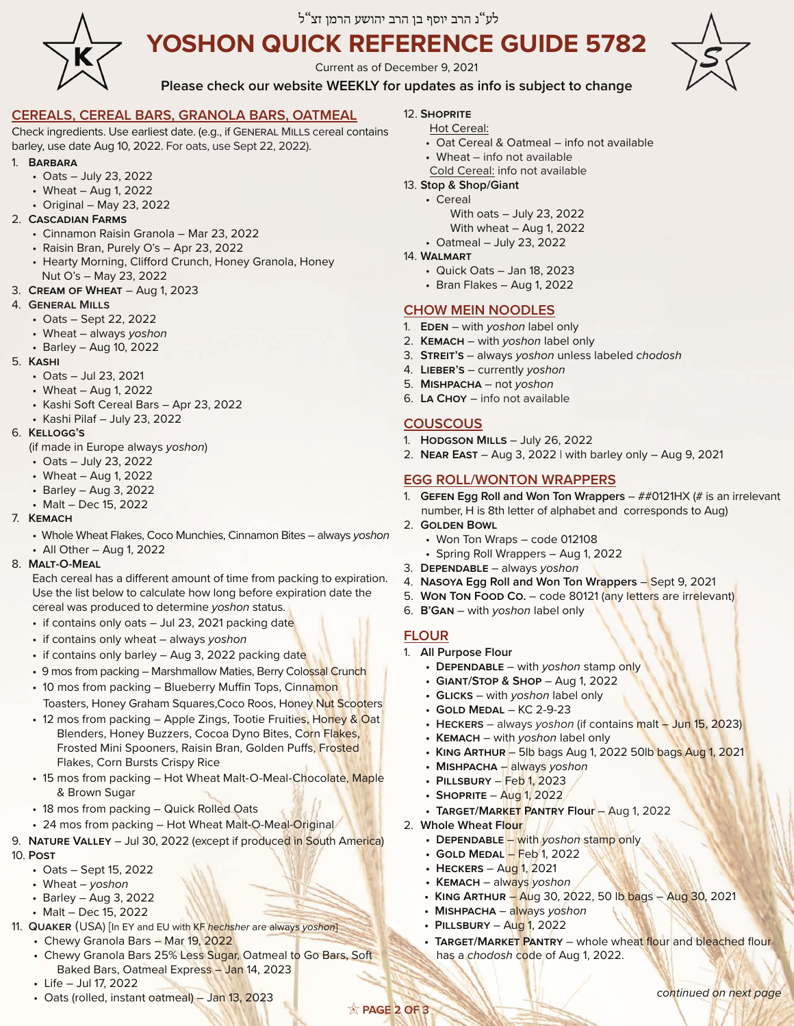

# לע"נ הרב יוסף בן הרב יהושע הרמן זצ"ל

# **YOSHON QUICK REFERENCE GUIDE 5782**

Current as of December 9, 2021



**Please check our website WEEKLY for updates as info is subject to change**

## **CEREALS, CEREAL BARS, GRANOLA BARS, OATMEAL**

Check ingredients. Use earliest date. (e.g., if General Mills cereal contains barley, use date Aug 10, 2022. For oats, use Sept 22, 2022).

#### 1. **Barbara**

- Oats July 23, 2022
- Wheat Aug 1, 2022
- Original May 23, 2022
- 2. **Cascadian Farms**
	- Cinnamon Raisin Granola Mar 23, 2022
	- Raisin Bran, Purely O's Apr 23, 2022
	- Hearty Morning, Clifford Crunch, Honey Granola, Honey Nut O's – May 23, 2022
- 3. **Cream of Wheat** Aug 1, 2023

#### 4. **General Mills**

- Oats Sept 22, 2022
- Wheat always *yoshon*
- Barley Aug 10, 2022
- 5. **Kashi**
	- Oats Jul 23, 2021
	- Wheat Aug 1, 2022
	- Kashi Soft Cereal Bars Apr 23, 2022
	- Kashi Pilaf July 23, 2022

#### 6. **Kellogg's**

- (if made in Europe always *yoshon*)
- Oats July 23, 2022
- Wheat Aug 1, 2022
- Barley Aug 3, 2022
- Malt Dec 15, 2022
- 7. **Kemach**
	- Whole Wheat Flakes, Coco Munchies, Cinnamon Bites always *yoshon*
	- All Other Aug 1, 2022

#### 8. **Malt-O-Meal**

Each cereal has a different amount of time from packing to expiration. Use the list below to calculate how long before expiration date the cereal was produced to determine *yoshon* status.

- if contains only oats Jul 23, 2021 packing date
- if contains only wheat always *yoshon*
- if contains only barley Aug 3, 2022 packing date
- 9 mos from packing Marshmallow Maties, Berry Colossal Crunch
- 10 mos from packing Blueberry Muffin Tops, Cinnamon Toasters, Honey Graham Squares,Coco Roos, Honey Nut Scooters
- 12 mos from packing Apple Zings, Tootie Fruities, Honey & Oat Blenders, Honey Buzzers, Cocoa Dyno Bites, Corn Flakes, Frosted Mini Spooners, Raisin Bran, Golden Puffs, Frosted Flakes, Corn Bursts Crispy Rice
- 15 mos from packing Hot Wheat Malt-O-Meal-Chocolate, Maple & Brown Sugar
- 18 mos from packing Quick Rolled Oats
- 24 mos from packing Hot Wheat Malt-O-Meal-Original
- 9. **Nature Valley**  Jul 30, 2022 (except if produced in South America) 10. **Post**
	- Oats Sept 15, 2022
	- Wheat *yoshon*
	- Barley Aug 3, 2022
	- Malt Dec 15, 2022
- 11. **Quaker** (USA) [In EY and EU with KF *hechsher* are always *yoshon*]
	- Chewy Granola Bars Mar 19, 2022
	- Chewy Granola Bars 25% Less Sugar, Oatmeal to Go Bars, Soft Baked Bars, Oatmeal Express – Jan 14, 2023
	- Life Jul 17, 2022
	- Oats (rolled, instant oatmeal) Jan 13, 2023
- 12. **Shoprite**
	- Hot Cereal:
	- Oat Cereal & Oatmeal info not available
	- Wheat info not available
	- Cold Cereal: info not available
- 13. **Stop & Shop/Giant**
	- Cereal
		- With oats July 23, 2022
		- With wheat Aug 1, 2022
		- Oatmeal July 23, 2022
- 14. **Walmart**
	- Quick Oats Jan 18, 2023
	- Bran Flakes Aug 1, 2022

## **CHOW MEIN NOODLES**

- 1. **Eden**  with *yoshon* label only
- 2. **Kemach**  with *yoshon* label only
- 3. **Streit's**  always *yoshon* unless labeled *chodosh*
- 4. **Lieber's**  currently *yoshon*
- 5. **Mishpacha**  not *yoshon*
- 6. **La Choy** info not available

# **COUSCOUS**

- 1. **Hodgson Mills** July 26, 2022
- 2. **Near East**  Aug 3, 2022 | with barley only Aug 9, 2021

## **EGG ROLL/WONTON WRAPPERS**

- 1. **Gefen Egg Roll and Won Ton Wrappers**  ##0121HX (# is an irrelevant number, H is 8th letter of alphabet and corresponds to Aug)
- 2. **Golden Bowl** 
	- Won Ton Wraps code 012108
	- Spring Roll Wrappers Aug 1, 2022
- 3. **Dependable**  always *yoshon*
- 4. **Nasoya Egg Roll and Won Ton Wrappers**  Sept 9, 2021
- 5. **WON TON FOOD CO.** code 80121 (any letters are irrelevant)
- 6. **B'Gan**  with *yoshon* label only

## **FLOUR**

**PAGE 2 OF 3**

- 1. **All Purpose Flour** 
	- **Dependable**  with *yoshon* stamp only
	- **Giant/Stop & Shop**  Aug 1, 2022
	- **Glicks**  with *yoshon* label only
	- **Gold Medal** KC 2-9-23
	- **Heckers** always *yoshon* (if contains malt Jun 15, 2023)
	- **Kemach** with *yoshon* label only

**• Target/Market Pantry Flour** – Aug 1, 2022

**• Dependable** – with *yoshon* stamp only

has a *chodosh* code of Aug 1, 2022.

**• King Arthur** – 5lb bags Aug 1, 2022 50lb bags Aug 1, 2021

**• King Arthur** – Aug 30, 2022, 50 lb bags – Aug 30, 2021

• TARGET/MARKET PANTRY - whole wheat flour and bleached flour

*continued on next page*

- **Mishpacha**  always *yoshon*
- **Pillsbury**  Feb 1, 2023

**• Gold Medal** – Feb 1, 2022 **• Heckers** – Aug 1, 2021 **• Kemach** – always *yoshon*

**• Mishpacha** – always *yoshon* **• Pillsbury** – Aug 1, 2022

**• Shoprite** – Aug 1, 2022

2. **Whole Wheat Flour**